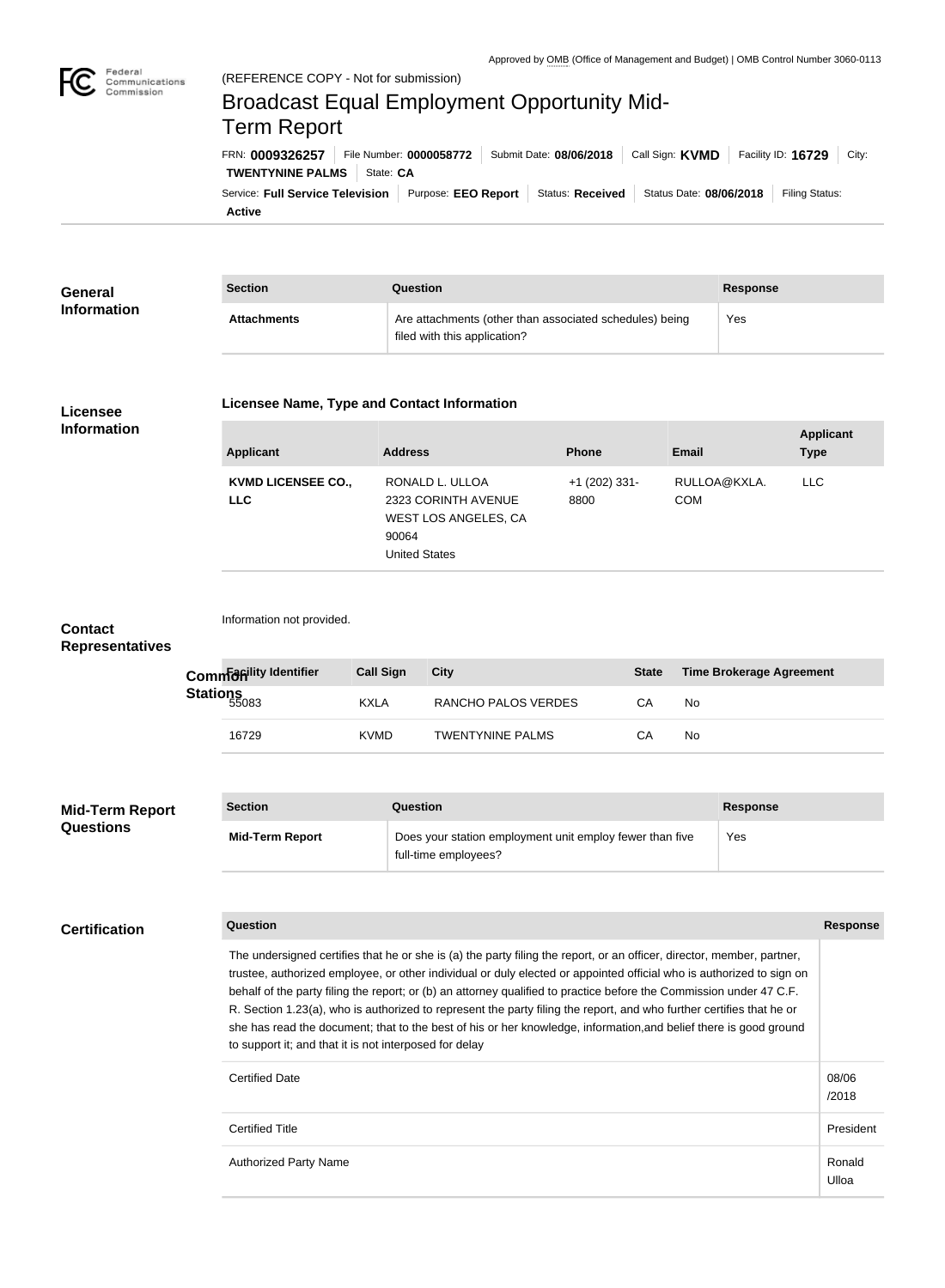

Federal

# **TWENTYNINE PALMS** State: CA FRN: **0009326257** File Number: **0000058772** Submit Date: **08/06/2018** Call Sign: **KVMD** Facility ID: **16729** City: (REFERENCE COPY - Not for submission) Broadcast Equal Employment Opportunity Mid-Term Report

**Active** Service: Full Service Television | Purpose: EEO Report | Status: Received | Status Date: 08/06/2018 | Filing Status:

| General<br><b>Information</b> | <b>Section</b>     | Question                                                                                | Response |
|-------------------------------|--------------------|-----------------------------------------------------------------------------------------|----------|
|                               | <b>Attachments</b> | Are attachments (other than associated schedules) being<br>filed with this application? | Yes      |

## **Licensee Information**

#### **Licensee Name, Type and Contact Information**

| Applicant                               | <b>Address</b>                                                                                  | <b>Phone</b>            | <b>Email</b>               | <b>Applicant</b><br><b>Type</b> |
|-----------------------------------------|-------------------------------------------------------------------------------------------------|-------------------------|----------------------------|---------------------------------|
| <b>KVMD LICENSEE CO.,</b><br><b>LLC</b> | RONALD L. ULLOA<br>2323 CORINTH AVENUE<br>WEST LOS ANGELES, CA<br>90064<br><b>United States</b> | $+1$ (202) 331-<br>8800 | RULLOA@KXLA.<br><b>COM</b> | <b>LLC</b>                      |

## **Contact Representatives**

Information not provided.

|                 | Comman lity Identifier | <b>Call Sign</b> | City                    | <b>State</b> | Time Brokerage Agreement |
|-----------------|------------------------|------------------|-------------------------|--------------|--------------------------|
| <b>Stations</b> |                        | <b>KXLA</b>      | RANCHO PALOS VERDES     | CА           | No                       |
|                 | 16729                  | <b>KVMD</b>      | <b>TWENTYNINE PALMS</b> | CА           | No                       |

| <b>Mid-Term Report</b><br><b>Questions</b> | <b>Section</b>         | Question                                                                         | <b>Response</b> |
|--------------------------------------------|------------------------|----------------------------------------------------------------------------------|-----------------|
|                                            | <b>Mid-Term Report</b> | Does your station employment unit employ fewer than five<br>full-time employees? | Yes             |

# **Certification**

**Question Response**

| The undersigned certifies that he or she is (a) the party filing the report, or an officer, director, member, partner,<br>trustee, authorized employee, or other individual or duly elected or appointed official who is authorized to sign on<br>behalf of the party filing the report; or (b) an attorney qualified to practice before the Commission under 47 C.F.<br>R. Section 1.23(a), who is authorized to represent the party filing the report, and who further certifies that he or<br>she has read the document; that to the best of his or her knowledge, information, and belief there is good ground<br>to support it; and that it is not interposed for delay |                 |
|------------------------------------------------------------------------------------------------------------------------------------------------------------------------------------------------------------------------------------------------------------------------------------------------------------------------------------------------------------------------------------------------------------------------------------------------------------------------------------------------------------------------------------------------------------------------------------------------------------------------------------------------------------------------------|-----------------|
| <b>Certified Date</b>                                                                                                                                                                                                                                                                                                                                                                                                                                                                                                                                                                                                                                                        | 08/06<br>/2018  |
| <b>Certified Title</b>                                                                                                                                                                                                                                                                                                                                                                                                                                                                                                                                                                                                                                                       | President       |
| <b>Authorized Party Name</b>                                                                                                                                                                                                                                                                                                                                                                                                                                                                                                                                                                                                                                                 | Ronald<br>Ulloa |